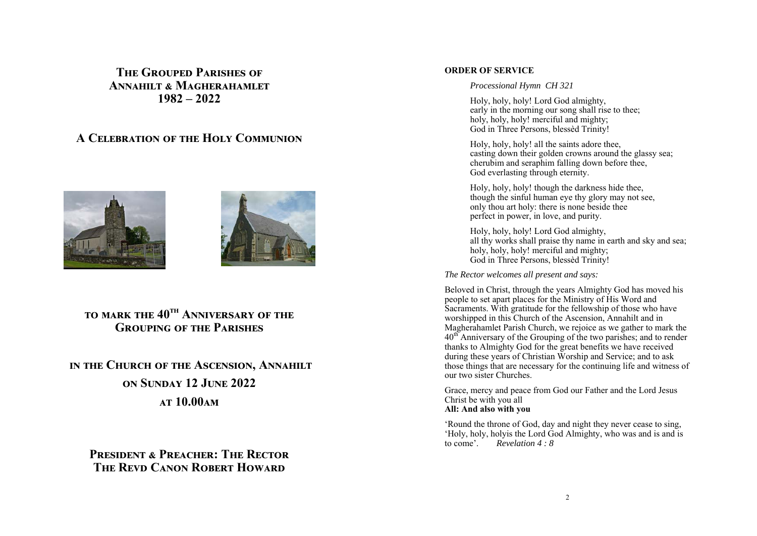# **THE GROUPED PARISHES OF ANNAHILT & MAGHERAHAMLET 1982 – 2022**

# **A CELEBRATION OF THE HOLY COMMUNION**





# **TO MARK THE 40<sup>TH</sup> ANNIVERSARY OF THE GROUPING OF THE PARISHES**

**IN THE CHURCH OF THE ASCENSION, ANNAHILT ON SUNDAY 12 JUNE 2022 AT 10.00 AM** 

**PRESIDENT & PREACHER: THE RECTOR THE REVD CANON ROBERT HOWARD** 

## **ORDER OF SERVICE**

#### *Processional Hymn CH 321*

Holy, holy, holy! Lord God almighty, early in the morning our song shall rise to thee; holy, holy, holy! merciful and mighty; God in Three Persons, blessèd Trinity!

Holy, holy, holy! all the saints adore thee, casting down their golden crowns around the glassy sea; cherubim and seraphim falling down before thee, God everlasting through eternity.

Holy, holy, holy! though the darkness hide thee, though the sinful human eye thy glory may not see, only thou art holy: there is none beside thee perfect in power, in love, and purity.

Holy, holy, holy! Lord God almighty, all thy works shall praise thy name in earth and sky and sea; holy, holy, holy! merciful and mighty; God in Three Persons, blessèd Trinity!

*The Rector welcomes all present and says:* 

Beloved in Christ, through the years Almighty God has moved his people to set apart places for the Ministry of His Word and Sacraments. With gratitude for the fellowship of those who have worshipped in this Church of the Ascension, Annahilt and in Magherahamlet Parish Church, we rejoice as we gather to mark the 40<sup>th</sup> Anniversary of the Grouping of the two parishes; and to render thanks to Almighty God for the great benefits we have received during these years of Christian Worship and Service; and to ask those things that are necessary for the continuing life and witness of our two sister Churches.

Grace, mercy and peace from God our Father and the Lord Jesus Christ be with you all **All: And also with you** 

'Round the throne of God, day and night they never cease to sing, 'Holy, holy, holyis the Lord God Almighty, who was and is and is to come'. *Revelation 4 : 8*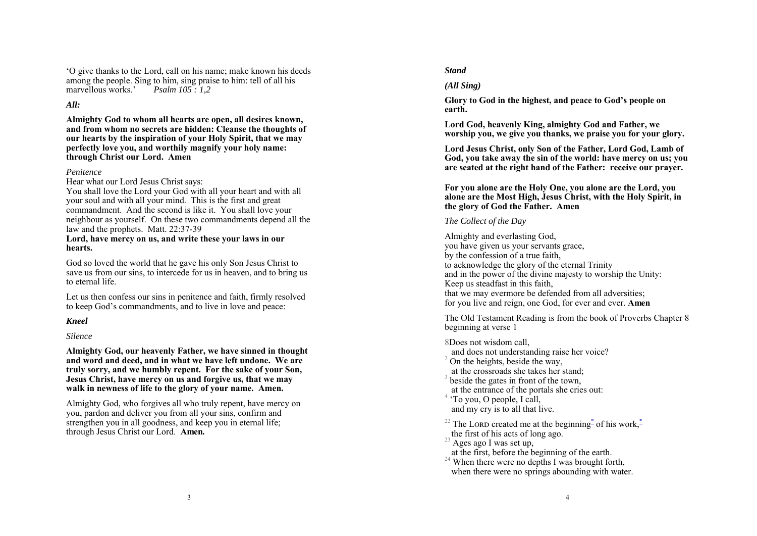'O give thanks to the Lord, call on his name; make known his deeds among the people. Sing to him, sing praise to him: tell of all his marvellous works.' *Psalm 105 : 1,2* 

## *All:*

**Almighty God to whom all hearts are open, all desires known, and from whom no secrets are hidden: Cleanse the thoughts of our hearts by the inspiration of your Holy Spirit, that we may perfectly love you, and worthily magnify your holy name: through Christ our Lord. Amen** 

#### *Penitence*

Hear what our Lord Jesus Christ says:

You shall love the Lord your God with all your heart and with all your soul and with all your mind. This is the first and great commandment. And the second is like it. You shall love your neighbour as yourself. On these two commandments depend all the law and the prophets. Matt. 22:37-39

#### **Lord, have mercy on us, and write these your laws in our hearts.**

God so loved the world that he gave his only Son Jesus Christ to save us from our sins, to intercede for us in heaven, and to bring us to eternal life.

Let us then confess our sins in penitence and faith, firmly resolved to keep God's commandments, and to live in love and peace:

# *Kneel*

*Silence* 

**Almighty God, our heavenly Father, we have sinned in thought and word and deed, and in what we have left undone. We are truly sorry, and we humbly repent. For the sake of your Son, Jesus Christ, have mercy on us and forgive us, that we may walk in newness of life to the glory of your name. Amen.** 

Almighty God, who forgives all who truly repent, have mercy on you, pardon and deliver you from all your sins, confirm and strengthen you in all goodness, and keep you in eternal life; through Jesus Christ our Lord. **Amen.** 

## *Stand*

# *(All Sing)*

**Glory to God in the highest, and peace to God's people on earth.** 

**Lord God, heavenly King, almighty God and Father, we worship you, we give you thanks, we praise you for your glory.** 

**Lord Jesus Christ, only Son of the Father, Lord God, Lamb of God, you take away the sin of the world: have mercy on us; you are seated at the right hand of the Father: receive our prayer.** 

### **For you alone are the Holy One, you alone are the Lord, you alone are the Most High, Jesus Christ, with the Holy Spirit, in the glory of God the Father. Amen**

# *The Collect of the Day*

Almighty and everlasting God, you have given us your servants grace, by the confession of a true faith, to acknowledge the glory of the eternal Trinity and in the power of the divine majesty to worship the Unity: Keep us steadfast in this faith, that we may evermore be defended from all adversities; for you live and reign, one God, for ever and ever. **Amen**

The Old Testament Reading is from the book of Proverbs Chapter 8 beginning at verse 1

- 8Does not wisdom call,
- $\frac{1}{2}$  On the heights, beside the way,<br>at the crossroads she takes her stand;
- 
- $3$  beside the gates in front of the town,
- at the entrance of the portals she cries out: 4 'To you, O people, I call,
- 
- and my cry is to all that live.

<sup>22</sup> The LORD created me at the beginning<sup>\*</sup> of his work,<sup>\*</sup> the first of his acts of long ago.

- 
- 
- $\frac{23}{23}$  Ages ago I was set up,<br>at the first, before the beginning of the earth.
- <sup>24</sup> When there were no depths I was brought forth, when there were no springs abounding with water.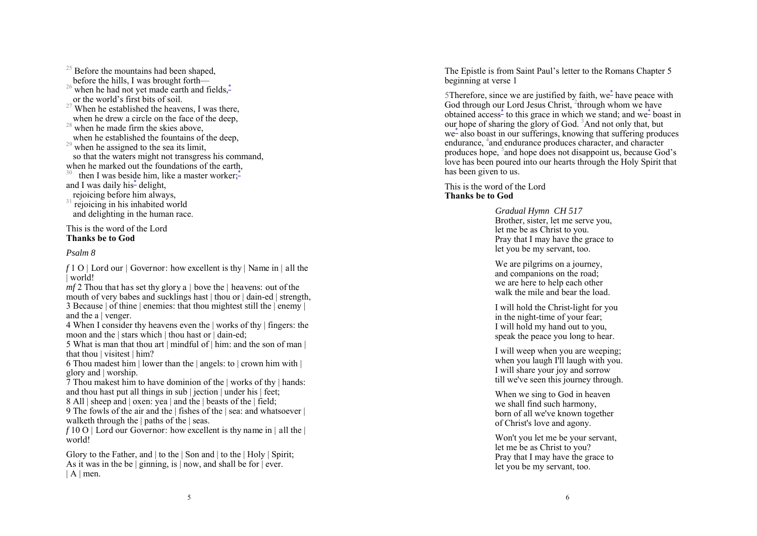<sup>25</sup> Before the mountains had been shaped, before the hills, I was brought forth— <sup>26</sup> when he had not yet made earth and fields, $\frac{3}{4}$  or the world's first bits of soil. <sup>27</sup> When he established the heavens, I was there, when he drew a circle on the face of the deep,  $28$  when he made firm the skies above,<br>when he established the fountains of the deep.  $29$  when he assigned to the sea its limit, so that the waters might not transgress his command, when he marked out the foundations of the earth, then I was beside him, like a master worker; $\ddot{\text{-}}$ and I was daily his<sup>\*</sup> delight,<br>rejoicing before him always,  $31$  rejoicing in his inhabited world and delighting in the human race.

## This is the word of the Lord **Thanks be to God**

### *Psalm 8*

*f* 1 O | Lord our | Governor: how excellent is thy | Name in | all the | world!

*mf* 2 Thou that has set thy glory a | bove the | heavens: out of the mouth of very babes and sucklings hast | thou or | dain-ed | strength, 3 Because | of thine | enemies: that thou mightest still the | enemy | and the a | venger.

4 When I consider thy heavens even the | works of thy | fingers: the moon and the | stars which | thou hast or | dain-ed;

5 What is man that thou art | mindful of | him: and the son of man | that thou | visitest | him?

6 Thou madest him  $\vert$  lower than the  $\vert$  angels: to  $\vert$  crown him with  $\vert$ glory and | worship.

 $\frac{9}{7}$  Thou makest him to have dominion of the | works of thy | hands: and thou hast put all things in sub | jection | under his | feet;

8 All | sheep and | oxen: yea | and the | beasts of the | field;

9 The fowls of the air and the | fishes of the | sea: and whatsoever | walketh through the | paths of the | seas.

*f* 10 O | Lord our Governor: how excellent is thy name in | all the | world!

Glory to the Father, and | to the | Son and | to the | Holy | Spirit; As it was in the be  $|$  ginning, is  $|$  now, and shall be for  $|$  ever.  $|A|$  men.

The Epistle is from Saint Paul's letter to the Romans Chapter 5 beginning at verse 1

5Therefore, since we are justified by faith, we\* have peace with God through our Lord Jesus Christ, <sup>2</sup>through whom we have obtained access<sup>\*</sup> to this grace in which we stand; and we<sup>\*</sup> boast in our hope of sharing the glory of God. 3And not only that, but we\* also boast in our sufferings, knowing that suffering produces endurance, 4and endurance produces character, and character produces hope, 5and hope does not disappoint us, because God's love has been poured into our hearts through the Holy Spirit that has been given to us.

# This is the word of the Lord **Thanks be to God**

*Gradual Hymn CH 517*  Brother, sister, let me serve you, let me be as Christ to you. Pray that I may have the grace to let you be my servant, too.

We are pilgrims on a journey, and companions on the road; we are here to help each other walk the mile and bear the load.

I will hold the Christ-light for you in the night-time of your fear; I will hold my hand out to you, speak the peace you long to hear.

I will weep when you are weeping; when you laugh I'll laugh with you. I will share your joy and sorrow till we've seen this journey through.

When we sing to God in heaven we shall find such harmony, born of all we've known together of Christ's love and agony.

Won't you let me be your servant, let me be as Christ to you? Pray that I may have the grace to let you be my servant, too.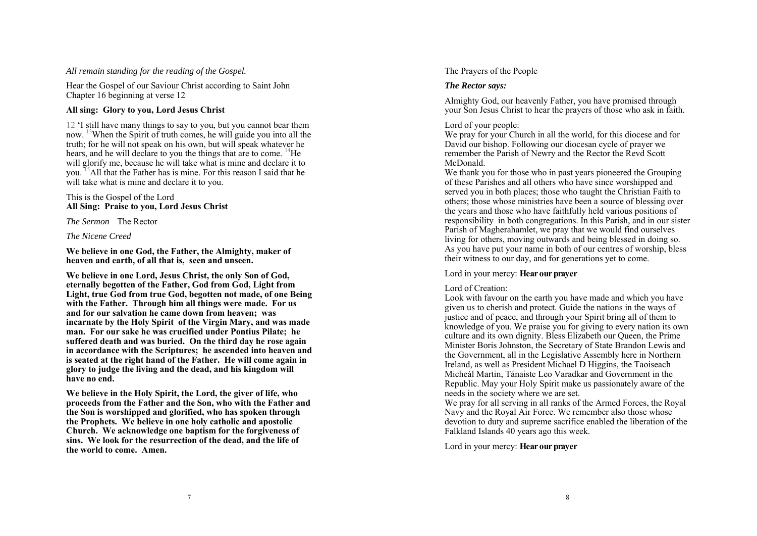## *All remain standing for the reading of the Gospel.*

Hear the Gospel of our Saviour Christ according to Saint John Chapter 16 beginning at verse 12

# **All sing: Glory to you, Lord Jesus Christ**

12 'I still have many things to say to you, but you cannot bear them now. 13When the Spirit of truth comes, he will guide you into all the truth; for he will not speak on his own, but will speak whatever he hears, and he will declare to you the things that are to come. <sup>14</sup>He will glorify me, because he will take what is mine and declare it to you. 15All that the Father has is mine. For this reason I said that he will take what is mine and declare it to you.

#### This is the Gospel of the Lord **All Sing: Praise to you, Lord Jesus Christ**

*The Sermon* The Rector

# *The Nicene Creed*

**We believe in one God, the Father, the Almighty, maker of heaven and earth, of all that is, seen and unseen.** 

**We believe in one Lord, Jesus Christ, the only Son of God, eternally begotten of the Father, God from God, Light from Light, true God from true God, begotten not made, of one Being with the Father. Through him all things were made. For us and for our salvation he came down from heaven; was incarnate by the Holy Spirit of the Virgin Mary, and was made man. For our sake he was crucified under Pontius Pilate; he suffered death and was buried. On the third day he rose again in accordance with the Scriptures; he ascended into heaven and is seated at the right hand of the Father. He will come again in glory to judge the living and the dead, and his kingdom will have no end.** 

**We believe in the Holy Spirit, the Lord, the giver of life, who proceeds from the Father and the Son, who with the Father and the Son is worshipped and glorified, who has spoken through the Prophets. We believe in one holy catholic and apostolic Church. We acknowledge one baptism for the forgiveness of sins. We look for the resurrection of the dead, and the life of the world to come. Amen.** 

# The Prayers of the People

# *The Rector says:*

Almighty God, our heavenly Father, you have promised through your Son Jesus Christ to hear the prayers of those who ask in faith.

# Lord of your people:

We pray for your Church in all the world, for this diocese and for David our bishop. Following our diocesan cycle of prayer we remember the Parish of Newry and the Rector the Revd Scott McDonald.

We thank you for those who in past years pioneered the Grouping of these Parishes and all others who have since worshipped and served you in both places; those who taught the Christian Faith to others; those whose ministries have been a source of blessing over the years and those who have faithfully held various positions of responsibility in both congregations. In this Parish, and in our sister Parish of Magherahamlet, we pray that we would find ourselves living for others, moving outwards and being blessed in doing so. As you have put your name in both of our centres of worship, bless their witness to our day, and for generations yet to come.

# Lord in your mercy: **Hear our prayer**

# Lord of Creation:

Look with favour on the earth you have made and which you have given us to cherish and protect. Guide the nations in the ways of justice and of peace, and through your Spirit bring all of them to knowledge of you. We praise you for giving to every nation its own culture and its own dignity. Bless Elizabeth our Queen, the Prime Minister Boris Johnston, the Secretary of State Brandon Lewis and the Government, all in the Legislative Assembly here in Northern Ireland, as well as President Michael D Higgins, the Taoiseach Micheál Martin, Tánaiste Leo Varadkar and Government in the Republic. May your Holy Spirit make us passionately aware of the needs in the society where we are set.

We pray for all serving in all ranks of the Armed Forces, the Royal Navy and the Royal Air Force. We remember also those whose devotion to duty and supreme sacrifice enabled the liberation of the Falkland Islands 40 years ago this week.

Lord in your mercy: **Hear our prayer**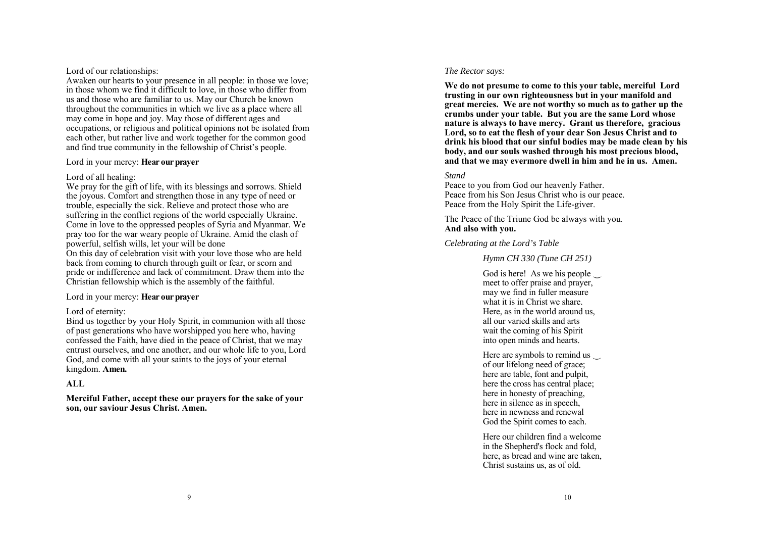### Lord of our relationships:

Awaken our hearts to your presence in all people: in those we love; in those whom we find it difficult to love, in those who differ from us and those who are familiar to us. May our Church be known throughout the communities in which we live as a place where all may come in hope and joy. May those of different ages and occupations, or religious and political opinions not be isolated from each other, but rather live and work together for the common good and find true community in the fellowship of Christ's people.

### Lord in your mercy: **Hear our prayer**

# Lord of all healing:

We pray for the gift of life, with its blessings and sorrows. Shield the joyous. Comfort and strengthen those in any type of need or trouble, especially the sick. Relieve and protect those who are suffering in the conflict regions of the world especially Ukraine. Come in love to the oppressed peoples of Syria and Myanmar. We pray too for the war weary people of Ukraine. Amid the clash of powerful, selfish wills, let your will be done On this day of celebration visit with your love those who are held back from coming to church through guilt or fear, or scorn and pride or indifference and lack of commitment. Draw them into the Christian fellowship which is the assembly of the faithful.

# Lord in your mercy: **Hear our prayer**

# Lord of eternity:

Bind us together by your Holy Spirit, in communion with all those of past generations who have worshipped you here who, having confessed the Faith, have died in the peace of Christ, that we may entrust ourselves, and one another, and our whole life to you, Lord God, and come with all your saints to the joys of your eternal kingdom. **Amen.** 

# **ALL**

**Merciful Father, accept these our prayers for the sake of your son, our saviour Jesus Christ. Amen.** 

## *The Rector says:*

**We do not presume to come to this your table, merciful Lord trusting in our own righteousness but in your manifold and great mercies. We are not worthy so much as to gather up the crumbs under your table. But you are the same Lord whose nature is always to have mercy. Grant us therefore, gracious Lord, so to eat the flesh of your dear Son Jesus Christ and to drink his blood that our sinful bodies may be made clean by his body, and our souls washed through his most precious blood, and that we may evermore dwell in him and he in us. Amen.** 

# *Stand*

Peace to you from God our heavenly Father. Peace from his Son Jesus Christ who is our peace. Peace from the Holy Spirit the Life-giver.

The Peace of the Triune God be always with you. **And also with you.** 

# *Celebrating at the Lord's Table*

# *Hymn CH 330 (Tune CH 251)*

God is here! As we his people  $\cup$ meet to offer praise and prayer, may we find in fuller measure what it is in Christ we share. Here, as in the world around us, all our varied skills and arts wait the coming of his Spirit into open minds and hearts.

Here are symbols to remind us of our lifelong need of grace; here are table, font and pulpit, here the cross has central place; here in honesty of preaching, here in silence as in speech, here in newness and renewal God the Spirit comes to each.

Here our children find a welcome in the Shepherd's flock and fold, here, as bread and wine are taken, Christ sustains us, as of old.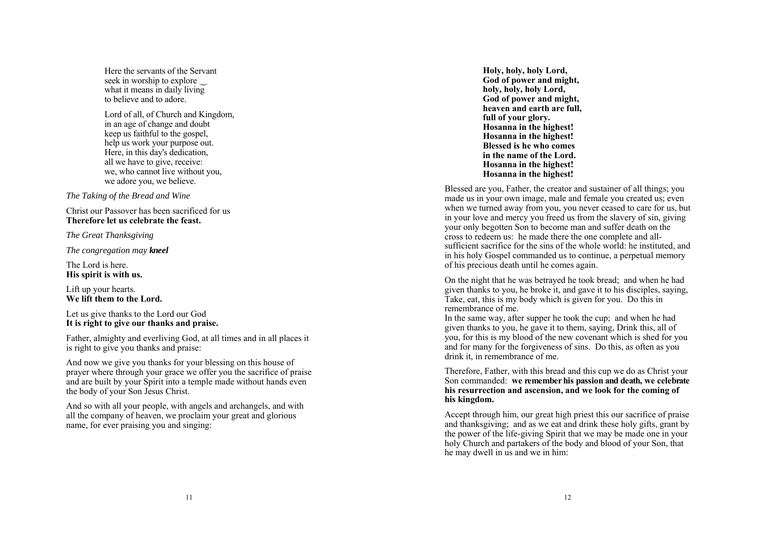Here the servants of the Servant seek in worship to explore what it means in daily living to believe and to adore.

Lord of all, of Church and Kingdom, in an age of change and doubt keep us faithful to the gospel, help us work your purpose out. Here, in this day's dedication, all we have to give, receive: we, who cannot live without you, we adore you, we believe.

*The Taking of the Bread and Wine* 

Christ our Passover has been sacrificed for us **Therefore let us celebrate the feast.** 

*The Great Thanksgiving* 

*The congregation may kneel*

The Lord is here. **His spirit is with us.** 

Lift up your hearts. **We lift them to the Lord.** 

Let us give thanks to the Lord our God **It is right to give our thanks and praise.** 

Father, almighty and everliving God, at all times and in all places it is right to give you thanks and praise:

And now we give you thanks for your blessing on this house of prayer where through your grace we offer you the sacrifice of praise and are built by your Spirit into a temple made without hands even the body of your Son Jesus Christ.

And so with all your people, with angels and archangels, and with all the company of heaven, we proclaim your great and glorious name, for ever praising you and singing:

**Holy, holy, holy Lord, God of power and might, hol y, hol y, hol y Lord, God of power and might, heaven and earth are full, full of your glory. Hosanna in the highest! Hosanna in the highest! Blessed is he who comes in the name of the Lord. Hosanna in the highest! Hosanna in the highest!** 

Blessed are you, Father, the creator and sustainer of all things; you made us in your own image, male and female you created us; even when we turned away from you, you never ceased to care for us, but in your love and mercy you freed us from the slavery of sin, giving your only begotten Son to become man and suffer death on the cross to redeem us: he made there the one complete and allsufficient sacrifice for the sins of the whole world: he instituted, and in his holy Gospel commanded us to continue, a perpetual memory of his precious death until he comes again.

On the night that he was betrayed he took bread; and when he had given thanks to you, he broke it, and gave it to his disciples, saying, Take, eat, this is my body which is given for you. Do this in remembrance of me.

In the same way, after supper he took the cup; and when he had given thanks to you, he gave it to them, saying, Drink this, all of you, for this is my blood of the new covenant which is shed for you and for many for the forgiveness of sins. Do this, as often as you drink it, in remembrance of me.

Therefore, Father, with this bread and this cup we do as Christ your Son commanded: **we remember his passion and death, we celebrate his resurrection and ascension, and we look for the coming of his kingdom.** 

Accept through him, our great high priest this our sacrifice of praise and thanksgiving; and as we eat and drink these holy gifts, grant by the power of the life-giving Spirit that we may be made one in your holy Church and partakers of the body and blood of your Son, that he may dwell in us and we in him: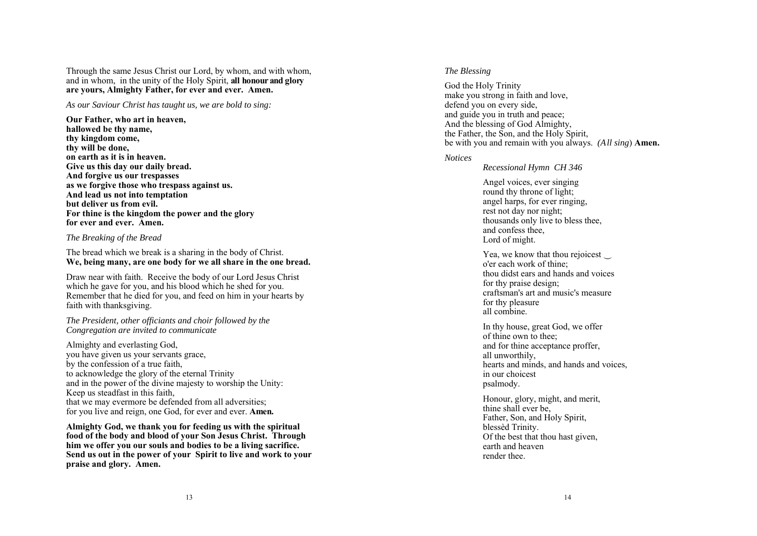Through the same Jesus Christ our Lord, by whom, and with whom, and in whom, in the unity of the Holy Spirit, **all honour and glory are yours, Almighty Father, for ever and ever. Amen.** 

*As our Saviour Christ has taught us, we are bold to sing:* 

**Our Father, who art in heaven, hallowed be thy name, thy kingdom come, thy will be done, on earth as it is in heaven. Give us this day our daily bread. And forgive us our trespasses as we forgive those who trespass against us. And lead us not into temptation but deliver us from evil. For thine is the kingdom the power and the glory for ever and ever. Amen.** 

#### *The Breaking of the Bread*

The bread which we break is a sharing in the body of Christ. **We, being many, are one body for we all share in the one bread.**

Draw near with faith. Receive the body of our Lord Jesus Christ which he gave for you, and his blood which he shed for you. Remember that he died for you, and feed on him in your hearts by faith with thanksgiving.

*The President, other officiants and choir followed by the Congregation are invited to communicate* 

Almighty and everlasting God, you have given us your servants grace, by the confession of a true faith, to acknowledge the glory of the eternal Trinity and in the power of the divine majesty to worship the Unity: Keep us steadfast in this faith, that we may evermore be defended from all adversities; for you live and reign, one God, for ever and ever. **Amen.**

**Almighty God, we thank you for feeding us with the spiritual food of the body and blood of your Son Jesus Christ. Through him we offer you our souls and bodies to be a living sacrifice. Send us out in the power of your Spirit to live and work to your praise and glory. Amen.** 

#### *The Blessing*

God the Holy Trinity make you strong in faith and love, defend you on every side, and guide you in truth and peace; And the blessing of God Almighty, the Father, the Son, and the Holy Spirit, be with you and remain with you always. *(All sing*) **Amen.** 

#### *Notices*

*Recessional Hymn CH 346* 

Angel voices, ever singing round thy throne of light; angel harps, for ever ringing, rest not day nor night; thousands only live to bless thee, and confess thee, Lord of might.

Yea, we know that thou rejoicest <sup>o</sup>'er each work of thine; thou didst ears and hands and voices for thy praise design; craftsman's art and music's measure for thy pleasure all combine.

In thy house, great God, we offer of thine own to thee; and for thine acceptance proffer, all unworthily, hearts and minds, and hands and voices, in our choicest psalmody.

Honour, glory, might, and merit, thine shall ever be, Father, Son, and Holy Spirit, blessèd Trinity. Of the best that thou hast given, earth and heaven render thee.